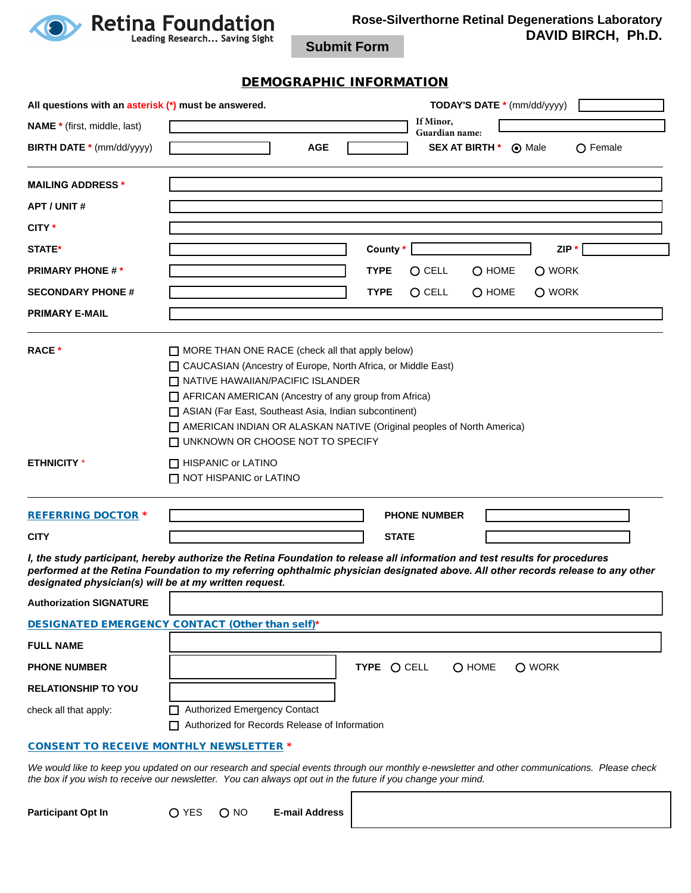

**Rose-Silverthorne Retinal Degenerations Laboratory DAVID BIRCH, Ph.D.**

٦

**Submit Form**

## DEMOGRAPHIC INFORMATION

| All questions with an asterisk (*) must be answered.   | <b>TODAY'S DATE *</b> (mm/dd/yyyy)                                                                                                                                                                                                                                                                                                                                                                                                                  |  |  |  |  |  |  |  |
|--------------------------------------------------------|-----------------------------------------------------------------------------------------------------------------------------------------------------------------------------------------------------------------------------------------------------------------------------------------------------------------------------------------------------------------------------------------------------------------------------------------------------|--|--|--|--|--|--|--|
| <b>NAME</b> * (first, middle, last)                    | If Minor,<br>Guardian name:                                                                                                                                                                                                                                                                                                                                                                                                                         |  |  |  |  |  |  |  |
| <b>BIRTH DATE *</b> (mm/dd/yyyy)                       | <b>SEX AT BIRTH *</b><br><b>AGE</b><br>(a) Male<br>$\bigcap$ Female                                                                                                                                                                                                                                                                                                                                                                                 |  |  |  |  |  |  |  |
| <b>MAILING ADDRESS *</b>                               |                                                                                                                                                                                                                                                                                                                                                                                                                                                     |  |  |  |  |  |  |  |
| <b>APT / UNIT #</b>                                    |                                                                                                                                                                                                                                                                                                                                                                                                                                                     |  |  |  |  |  |  |  |
| CITY *                                                 |                                                                                                                                                                                                                                                                                                                                                                                                                                                     |  |  |  |  |  |  |  |
| <b>STATE*</b>                                          | County *<br>$ZIP*$                                                                                                                                                                                                                                                                                                                                                                                                                                  |  |  |  |  |  |  |  |
| <b>PRIMARY PHONE #*</b>                                | <b>TYPE</b><br>O CELL<br>$O$ HOME<br>O WORK                                                                                                                                                                                                                                                                                                                                                                                                         |  |  |  |  |  |  |  |
| <b>SECONDARY PHONE #</b>                               | <b>TYPE</b><br>$O$ CELL<br>O HOME<br>O WORK                                                                                                                                                                                                                                                                                                                                                                                                         |  |  |  |  |  |  |  |
| <b>PRIMARY E-MAIL</b>                                  |                                                                                                                                                                                                                                                                                                                                                                                                                                                     |  |  |  |  |  |  |  |
| <b>ETHNICITY</b> *                                     | $\Box$ MORE THAN ONE RACE (check all that apply below)<br>CAUCASIAN (Ancestry of Europe, North Africa, or Middle East)<br>NATIVE HAWAIIAN/PACIFIC ISLANDER<br>AFRICAN AMERICAN (Ancestry of any group from Africa)<br>ASIAN (Far East, Southeast Asia, Indian subcontinent)<br>AMERICAN INDIAN OR ALASKAN NATIVE (Original peoples of North America)<br>□ UNKNOWN OR CHOOSE NOT TO SPECIFY<br>□ HISPANIC or LATINO<br>$\Box$ NOT HISPANIC or LATINO |  |  |  |  |  |  |  |
| <b>REFERRING DOCTOR *</b>                              | <b>PHONE NUMBER</b>                                                                                                                                                                                                                                                                                                                                                                                                                                 |  |  |  |  |  |  |  |
| <b>CITY</b>                                            | <b>STATE</b>                                                                                                                                                                                                                                                                                                                                                                                                                                        |  |  |  |  |  |  |  |
| designated physician(s) will be at my written request. | I, the study participant, hereby authorize the Retina Foundation to release all information and test results for procedures<br>performed at the Retina Foundation to my referring ophthalmic physician designated above. All other records release to any other                                                                                                                                                                                     |  |  |  |  |  |  |  |
| <b>Authorization SIGNATURE</b>                         |                                                                                                                                                                                                                                                                                                                                                                                                                                                     |  |  |  |  |  |  |  |
|                                                        | DESIGNATED EMERGENCY CONTACT (Other than self)*                                                                                                                                                                                                                                                                                                                                                                                                     |  |  |  |  |  |  |  |
| <b>FULL NAME</b>                                       |                                                                                                                                                                                                                                                                                                                                                                                                                                                     |  |  |  |  |  |  |  |
| <b>PHONE NUMBER</b>                                    | TYPE O CELL<br>O HOME<br>O WORK                                                                                                                                                                                                                                                                                                                                                                                                                     |  |  |  |  |  |  |  |
| <b>RELATIONSHIP TO YOU</b>                             |                                                                                                                                                                                                                                                                                                                                                                                                                                                     |  |  |  |  |  |  |  |
| check all that apply:                                  | Authorized Emergency Contact<br>Authorized for Records Release of Information                                                                                                                                                                                                                                                                                                                                                                       |  |  |  |  |  |  |  |
|                                                        | <b>CONSENT TO RECEIVE MONTHLY NEWSLETTER *</b>                                                                                                                                                                                                                                                                                                                                                                                                      |  |  |  |  |  |  |  |
|                                                        | We would like to keep you updated on our research and special events through our monthly e-newsletter and other communications. Please check                                                                                                                                                                                                                                                                                                        |  |  |  |  |  |  |  |

## *the box if you wish to receive our newsletter. You can always opt out in the future if you change your mind.* г

|--|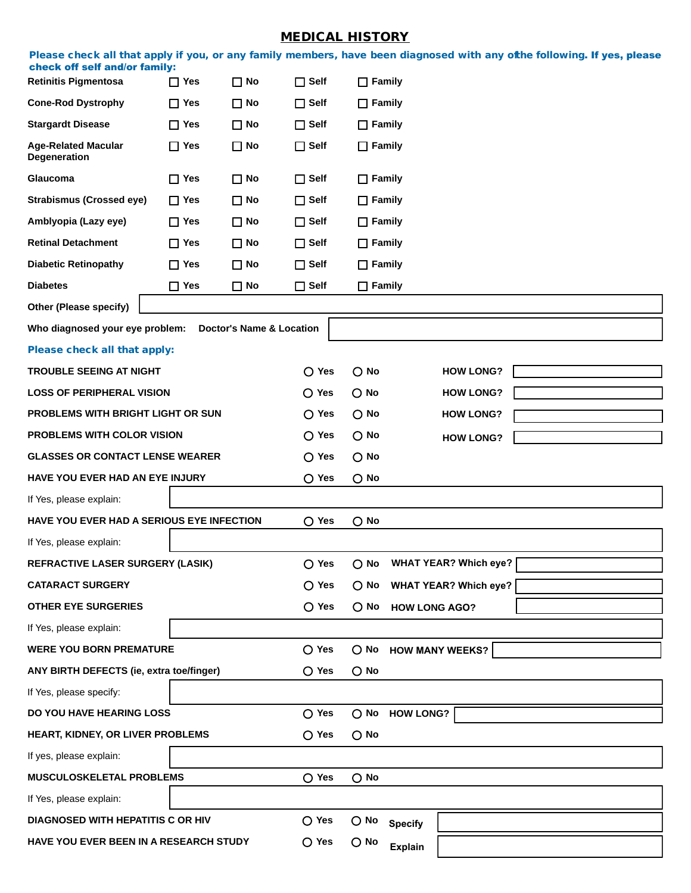## MEDICAL HISTORY

|           |                               |  |  |  | Please check all that apply if you, or any family members, have been diagnosed with any ofthe following. If yes, please |  |  |
|-----------|-------------------------------|--|--|--|-------------------------------------------------------------------------------------------------------------------------|--|--|
|           | check off self and/or family: |  |  |  |                                                                                                                         |  |  |
| _ _ _ _ _ |                               |  |  |  |                                                                                                                         |  |  |

| <b>Retinitis Pigmentosa</b>                                        | $\Box$ Yes     | $\Box$ No                           | <b>Self</b><br>П     | $\Box$ Family                       |                |                  |  |  |
|--------------------------------------------------------------------|----------------|-------------------------------------|----------------------|-------------------------------------|----------------|------------------|--|--|
| <b>Cone-Rod Dystrophy</b>                                          | $\Box$ Yes     | $\square$ No                        | $\Box$ Self          | $\Box$ Family                       |                |                  |  |  |
| <b>Stargardt Disease</b>                                           | $\Box$ Yes     | $\square$ No                        | $\Box$ Self          | $\Box$ Family                       |                |                  |  |  |
| <b>Age-Related Macular</b><br><b>Degeneration</b>                  | $\Box$ Yes     | $\square$ No                        | $\Box$ Self          | $\Box$ Family                       |                |                  |  |  |
| Glaucoma                                                           | $\Box$ Yes     | $\square$ No                        | $\Box$ Self          | $\Box$ Family                       |                |                  |  |  |
| <b>Strabismus (Crossed eye)</b>                                    | $\Box$ Yes     | $\square$ No                        | $\Box$ Self          | $\Box$ Family                       |                |                  |  |  |
| Amblyopia (Lazy eye)                                               | $\Box$ Yes     | $\square$ No                        | $\Box$ Self          | $\Box$ Family                       |                |                  |  |  |
| <b>Retinal Detachment</b>                                          | $\Box$ Yes     | $\square$ No                        | $\Box$ Self          | $\Box$ Family                       |                |                  |  |  |
| <b>Diabetic Retinopathy</b>                                        | $\Box$ Yes     | $\Box$ No                           | $\Box$ Self          | $\Box$ Family                       |                |                  |  |  |
| <b>Diabetes</b>                                                    | $\Box$ Yes     | $\square$ No                        | $\Box$ Self          | $\Box$ Family                       |                |                  |  |  |
| Other (Please specify)                                             |                |                                     |                      |                                     |                |                  |  |  |
| Who diagnosed your eye problem:                                    |                | <b>Doctor's Name &amp; Location</b> |                      |                                     |                |                  |  |  |
| Please check all that apply:                                       |                |                                     |                      |                                     |                |                  |  |  |
| <b>TROUBLE SEEING AT NIGHT</b>                                     |                |                                     | $\bigcirc$ Yes       | $\bigcirc$ No                       |                | <b>HOW LONG?</b> |  |  |
| <b>LOSS OF PERIPHERAL VISION</b>                                   |                |                                     | $\bigcirc$ Yes       | $\bigcirc$ No                       |                | <b>HOW LONG?</b> |  |  |
| PROBLEMS WITH BRIGHT LIGHT OR SUN                                  |                |                                     | $\bigcirc$ Yes       | $\bigcirc$ No                       |                | <b>HOW LONG?</b> |  |  |
| PROBLEMS WITH COLOR VISION                                         |                |                                     | $\bigcirc$ Yes       | $\bigcirc$ No                       |                | <b>HOW LONG?</b> |  |  |
| <b>GLASSES OR CONTACT LENSE WEARER</b>                             |                |                                     | $\bigcirc$ Yes       | $\bigcirc$ No                       |                |                  |  |  |
| HAVE YOU EVER HAD AN EYE INJURY                                    | $\bigcirc$ Yes | $\bigcirc$ No                       |                      |                                     |                |                  |  |  |
| If Yes, please explain:                                            |                |                                     |                      |                                     |                |                  |  |  |
| HAVE YOU EVER HAD A SERIOUS EYE INFECTION                          | $\bigcirc$ Yes | $\bigcirc$ No                       |                      |                                     |                |                  |  |  |
| If Yes, please explain:                                            |                |                                     |                      |                                     |                |                  |  |  |
| REFRACTIVE LASER SURGERY (LASIK)                                   | $\bigcirc$ Yes | $\bigcirc$ No                       |                      | <b>WHAT YEAR? Which eye?</b>        |                |                  |  |  |
| <b>CATARACT SURGERY</b>                                            | $\bigcirc$ Yes |                                     |                      | $\bigcirc$ No WHAT YEAR? Which eye? |                |                  |  |  |
| <b>OTHER EYE SURGERIES</b>                                         | $\bigcirc$ Yes | $\bigcirc$ No                       | <b>HOW LONG AGO?</b> |                                     |                |                  |  |  |
| If Yes, please explain:                                            |                |                                     |                      |                                     |                |                  |  |  |
| <b>WERE YOU BORN PREMATURE</b>                                     | $\bigcirc$ Yes |                                     | O No HOW MANY WEEKS? |                                     |                |                  |  |  |
| ANY BIRTH DEFECTS (ie, extra toe/finger)                           | $\bigcirc$ Yes | $\bigcirc$ No                       |                      |                                     |                |                  |  |  |
| If Yes, please specify:                                            |                |                                     |                      |                                     |                |                  |  |  |
| DO YOU HAVE HEARING LOSS                                           | $\bigcirc$ Yes | $\bigcirc$ No                       | <b>HOW LONG?</b>     |                                     |                |                  |  |  |
| HEART, KIDNEY, OR LIVER PROBLEMS                                   | $\bigcirc$ Yes | $\bigcirc$ No                       |                      |                                     |                |                  |  |  |
| If yes, please explain:                                            |                |                                     |                      |                                     |                |                  |  |  |
| $\bigcirc$ Yes<br>$\bigcirc$ No<br><b>MUSCULOSKELETAL PROBLEMS</b> |                |                                     |                      |                                     |                |                  |  |  |
| If Yes, please explain:                                            |                |                                     |                      |                                     |                |                  |  |  |
| DIAGNOSED WITH HEPATITIS C OR HIV                                  |                |                                     | $\bigcirc$ Yes       | $\bigcirc$ No                       | <b>Specify</b> |                  |  |  |
| HAVE YOU EVER BEEN IN A RESEARCH STUDY                             | $\bigcirc$ Yes | $\bigcirc$ No                       | <b>Explain</b>       |                                     |                |                  |  |  |